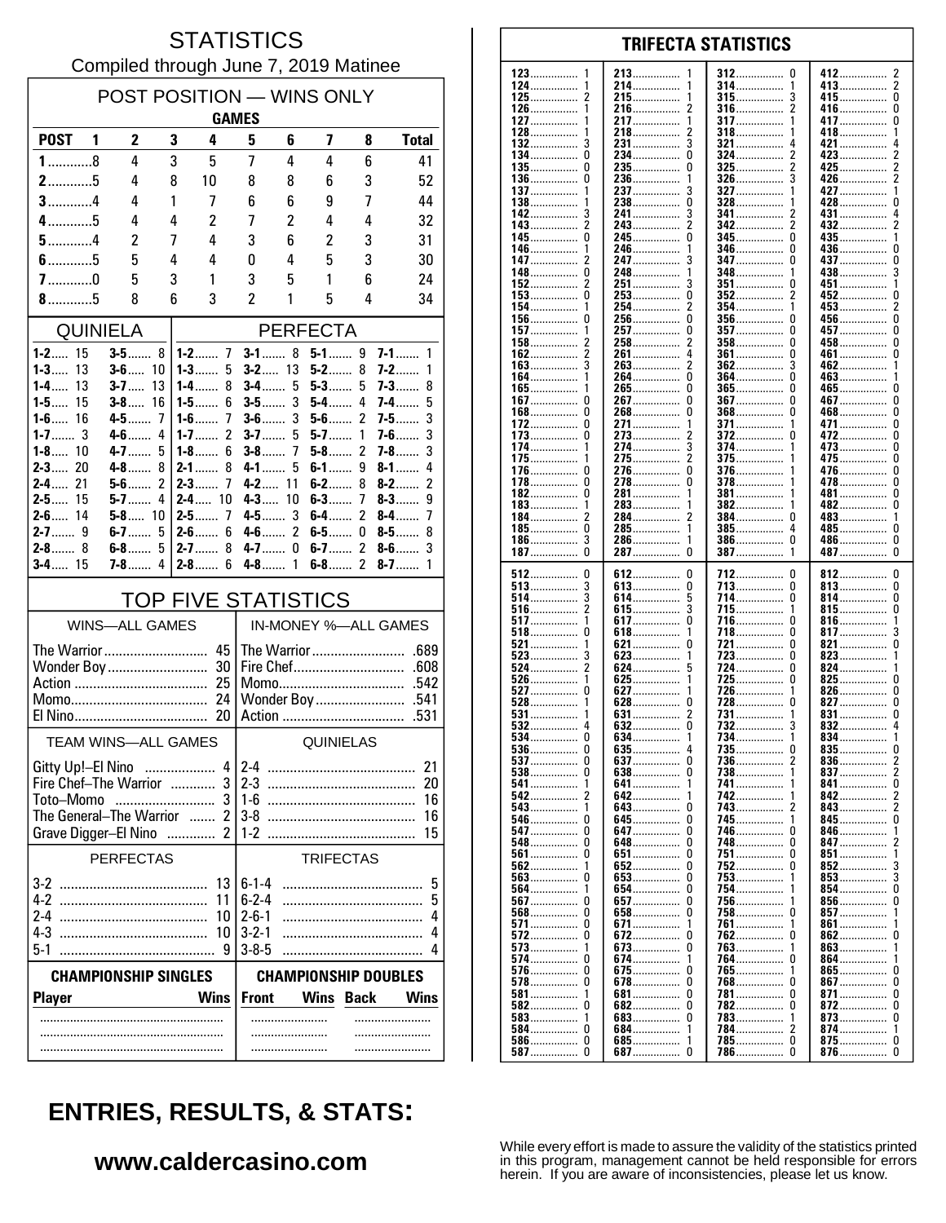#### **STATISTICS** Compiled through June 7, 2019 Matinee

| POST POSITION - WINS ONLY<br><b>GAMES</b>                                                                                                               |                       |                          |                                                                  |                                                                                                      |                |                     |                          |                            |
|---------------------------------------------------------------------------------------------------------------------------------------------------------|-----------------------|--------------------------|------------------------------------------------------------------|------------------------------------------------------------------------------------------------------|----------------|---------------------|--------------------------|----------------------------|
| <b>POST</b>                                                                                                                                             | $\mathbf{2}$<br>1     | 3                        | 4                                                                | 5                                                                                                    | 6              | 7                   | 8                        | <b>Total</b>               |
| $1$ 8                                                                                                                                                   | 4                     | 3                        | 5                                                                | 7                                                                                                    | 4              | 4                   | 6                        | 41                         |
| $2$ 5                                                                                                                                                   | 4                     | 8                        | 10                                                               | 8                                                                                                    | 8              | 6                   | 3                        | 52                         |
| $3$ 4                                                                                                                                                   | 4                     | 1                        | 7                                                                | 6                                                                                                    | 6              | 9                   | 7                        | 44                         |
| $4$ 5<br>$5$ 4                                                                                                                                          | 4<br>$\overline{c}$   | 4<br>7                   | $\overline{c}$<br>4                                              | 7<br>3                                                                                               | 2<br>6         | 4<br>$\overline{c}$ | 4<br>3                   | 32<br>31                   |
| $6$ 5                                                                                                                                                   | 5                     | 4                        | 4                                                                | 0                                                                                                    | 4              | 5                   | 3                        | 30                         |
| $7$ 0                                                                                                                                                   | 5                     | 3                        | 1                                                                | 3                                                                                                    | 5              | 1                   | 6                        | 24                         |
| $8$ 5                                                                                                                                                   | 8                     | 6                        | 3                                                                | $\overline{\mathbf{c}}$                                                                              | 1              | 5                   | 4                        | 34                         |
|                                                                                                                                                         | <b>QUINIELA</b>       |                          |                                                                  |                                                                                                      |                | <b>PERFECTA</b>     |                          |                            |
| $1 - 2$ 15                                                                                                                                              | $3 - 5$ 8             |                          |                                                                  |                                                                                                      | $3 - 1$ 8      | $5 - 1$ 9           |                          | $7 - 1$                    |
| $1 - 3$<br>13<br>$1 - 4$<br>13                                                                                                                          | $3 - 6$ 10<br>$3-7$   | 13                       | $1 - 3$<br>5<br>1-4……<br>8                                       | $3 - 2$ 13                                                                                           | <b>3-4</b> 5   | $5-2$<br>$5-3$      | 8<br>5                   | $7-2$<br>1<br>$7 - 3$<br>8 |
| $1 - 5$<br>15                                                                                                                                           | $3-8$                 | 16                       | 6<br>1-5……                                                       | $3-5$                                                                                                | 3              | $5-4$               | 4                        | 7-4……<br>5                 |
| $1 - 6$ 16                                                                                                                                              | $4-5$                 | 7                        | 7<br>$1-6$                                                       | $3-6$                                                                                                | 3              | $5-6$               | $\overline{\phantom{a}}$ | 3<br>$7 - 5$               |
| $1 - 7$ 3<br>$1 - 8$ 10                                                                                                                                 | $4-6$<br>$4 - 7$      | 4<br>5                   | 2<br>$1 - 7$<br>$1-8$<br>6                                       | $3-7$<br>$3-8$                                                                                       | 5<br>7         | $5-7$<br>$5-8$      | 1<br>2                   | 3<br>$7-6$<br>$7 - 8$<br>3 |
| $2 - 3$ 20                                                                                                                                              | $4-8$                 | 8                        | $2-1$<br>8                                                       | $4 - 1$                                                                                              | 5              | $6-1$               | 9                        | $8-1$<br>4                 |
| 21<br>$2-4$                                                                                                                                             | $5-6$                 | $\overline{\phantom{a}}$ | $2-3$<br>7                                                       | $4-2$                                                                                                | 11             | $6-2$<br>$6-3$      | 8                        | 2<br>$8-2$<br>9            |
| $2-5$<br>15<br>$2 - 6$ 14                                                                                                                               | $5-7$<br>$5 - 8$ 10   | 4                        | $2 - 4$ 10<br>$2 - 5$<br>7                                       | 4-3<br>4-5……                                                                                         | 10<br>3        | $6-4$               | 7<br>2                   | $8-3$<br>7<br>$8-4$        |
|                                                                                                                                                         | $6-7$                 | 5                        | $2-6$<br>6                                                       | 4-6……                                                                                                | 2              | 6-5……               | 0                        | $8-5$<br>8                 |
| $2 - 8$ 8<br>$3 - 4$ 15                                                                                                                                 | $6-8$<br>$7 - 8$      | 5<br>4                   | 8<br>$2 - 7$<br>$2-8$<br>6                                       | 4-8                                                                                                  | $4 - 7$ 0<br>1 | 6-7.<br>$6-8$       | $\overline{c}$<br>2      | 3<br>$8-6$<br>$8-7$<br>1   |
|                                                                                                                                                         |                       |                          |                                                                  |                                                                                                      |                |                     |                          |                            |
|                                                                                                                                                         | <b>WINS-ALL GAMES</b> |                          |                                                                  | <b>TOP FIVE STATISTICS</b><br>IN-MONEY %-ALL GAMES                                                   |                |                     |                          |                            |
| The Warrior<br>45<br>30<br>Wonder Boy<br>25<br>24<br>20                                                                                                 |                       |                          | .608<br>Wonder Boy<br>.541<br>Action<br>.531                     |                                                                                                      |                |                     |                          |                            |
| <b>TEAM WINS-ALL GAMES</b>                                                                                                                              |                       |                          |                                                                  | QUINIELAS                                                                                            |                |                     |                          |                            |
| $\vert 4 \vert$<br>Gitty Up!-El Nino<br>Fire Chef-The Warrior  3<br>Toto-Momo<br>The General-The Warrior<br>2<br>$\mathfrak{p}$<br>Grave Digger-El Nino |                       |                          | $2 - 4$<br>21<br>$2-3$<br>20<br>16<br>$3-8$<br>16<br>$1-2$<br>15 |                                                                                                      |                |                     |                          |                            |
| <b>PERFECTAS</b>                                                                                                                                        |                       |                          |                                                                  | <b>TRIFECTAS</b>                                                                                     |                |                     |                          |                            |
| 13<br>11<br>10<br>$4-3$<br>10<br>$5-1$<br>9                                                                                                             |                       |                          |                                                                  | $6 - 1 - 4$<br>5<br>$6 - 2 - 4$<br>5<br><br>$2 - 6 - 1$<br>4<br>$3 - 2 - 1$<br>4<br>$3 - 8 - 5$<br>4 |                |                     |                          |                            |
| <b>CHAMPIONSHIP SINGLES</b><br><b>CHAMPIONSHIP DOUBLES</b>                                                                                              |                       |                          |                                                                  |                                                                                                      |                |                     |                          |                            |
| <b>Player</b>                                                                                                                                           |                       |                          | <b>Wins</b>                                                      | <b>Front</b>                                                                                         |                | <b>Wins</b>         | <b>Back</b>              | <b>Wins</b>                |
|                                                                                                                                                         |                       |                          |                                                                  |                                                                                                      |                |                     | .                        |                            |

| $123$         | 213             | 312             | 412           |
|---------------|-----------------|-----------------|---------------|
| 1             | 1               | 0               | z             |
| 124……………      | 214……………        | 314             | 413           |
|               | 1               | 1               | 2             |
| 125……………      | 215……………<br>1   | <b>315</b>      | 415……………      |
|               |                 |                 |               |
| 126……………      | 216……………<br>2   | 316             | 416……………<br>0 |
| 127           | 217<br>1        | 317             | 417<br>0      |
| 1             | 218<br>2        |                 | 418<br>1      |
| 128……………      |                 | 318……………        |               |
| 132           | 231             | 321             | 421           |
|               | 3               | 4               | 4             |
| 134           | 234             | 324……………        | 423           |
| U             | 0               | 2               | 2             |
|               | 235             |                 | 425<br>2      |
| $135$         |                 | <b>325</b>      |               |
| 136           | 236……………        | 3               | 426           |
| 0             | 1               | 326             | 2             |
| 137           | 237<br>3        | <b>327</b>      | 427<br>1      |
|               | 0               | $328$           | 428           |
| 138……………<br>1 | 238……………        | 1               | U             |
| 142           | 3               | 341             | 431           |
|               | 241……………        | 2               | 4             |
| 143           | 2               | 342             | 432           |
| 2             | 243             | 2               | 2             |
| 0             | 0               |                 |               |
| 145           | 245             | 345<br>0        | 435<br>1      |
| 146           | 246             | 346……………        | 436           |
| 1             | 1               | 0               | 0             |
| 147           | 3               | 347             | 437           |
| 2             | 247……………        | 0               | 0             |
|               |                 |                 | 3             |
| 148           | 248             | 348             | 438           |
| 0             | 1               | 1               |               |
| 152           | 251             | 351             | 451           |
| 2             | 3               | 0               | 1             |
| 153           | 253             | <b>352</b>      | 452           |
| 0             | 0               | 2               | 0             |
|               |                 |                 |               |
| 154……………      | 2               | 354……………        | 453           |
| 1             | 254……………        | 1               | 2             |
| 156……………      | 256             | 356             | 456           |
| 0             | 0               | 0               | 0             |
| <u> 157</u>   | 257             | <b>357</b>      | 457           |
| 1             | 0               | 0               | 0             |
|               | 2               |                 |               |
| 158……………      | 258             | <b>358</b><br>0 | 458<br>0      |
| 2             | 261             | 361             | 461           |
| 162           |                 | 0               | 0             |
| $163$         | 2               | 362             | 462……………      |
|               | 263             | 3               | 1             |
| 164……………      | 264……………        | <b>364……………</b> | 463           |
|               | 0               | 0               | 1             |
|               |                 |                 |               |
| 165           | 265             | <b>365</b>      | 465           |
|               | 0               | 0               | U             |
| 167           | 267             | 367             | 467           |
| U             | 0               | 0               | 0             |
| 168……………      | 268……………        | 368             | 468……………      |
| 0             | 0               | 0               | 0             |
|               |                 |                 |               |
| 172           | 271             | 371             | 471           |
| 0             | 1               | 1               | 0             |
| $173$         | 2               | 372             | 472           |
| 0             | 273             | 0               | 0             |
| 174           | 3               | 374             | 473           |
| 1             | 274             | 1               | 0             |
| 175……………      | 2               | 375             | 475           |
| 1             | 275             | 1               | 0             |
|               |                 |                 |               |
| 176           | 276……………        | 376             | 476……………      |
| U             | 0               | 1               | 0             |
| 178……………      | 278……………        | $378$<br>1      | 478<br>0      |
| 182           | 281             | 381             | 481           |
| 0             |                 | 1               | 0             |
|               | 1               | 1               |               |
| 183<br>1      | 283             | 382             | 482<br>0      |
| 184……………      | 284             | 384……………        | 483           |
| 2             | 2               | 0               | 1             |
| 185           | 1               | 385             | 485           |
| 0             | 285……………        | 4               | 0             |
| 3             | 1               | 386……………        | 486           |
| 186……………      | 286             | 0               | 0             |
|               |                 |                 |               |
| 187           | 287             | 387             | 487           |
| 0             | 0               | 1               | 0             |
|               |                 |                 |               |
|               |                 |                 |               |
| 0             | 0               | 0               | 0             |
| 512           | 612             | 712             | 812           |
| $513$         | 613             | 713             | 813           |
| 3             | 0               | 0               | 0             |
| 514           | 614             | 714             | 814           |
|               | 5               | 0               | 0             |
| 516           | 3               | 715             | 815           |
|               | 615             | 1               | 0             |
|               | 0               |                 | 1             |
| 517           | <b>617</b>      | 716             | 816           |
| $518$         | 618             | 718             | 817           |
| 0             | 1               | 0               | 3             |
| 521           | 621             | 721             | 821           |
|               | 0               | 0               | 0             |
| $523$         | 623             | 723             | 823           |
|               | 1               | 0               | 1             |
|               |                 |                 |               |
| 524           | 624             | 724<br>0        | 824<br>1      |
| $526$         | 625             | 725             | 825           |
| 1             | 1               | 0               | U             |
| 527           | 627             | 726             | 826           |
| 0             | 1               | 1               | 0             |
| 528           | 628             | 728             | 827           |
| 1             | 0               | 0               | 0             |
|               |                 |                 |               |
| 531           | 2<br>631        | 731             | $831$<br>0    |
| 532           | 632             | 732             | 832           |
| 4             | 0               | 3               | 4             |
| 534           | 634             | 734             | 834           |
|               | 1               | 1               | 1             |
| $536$         | 635             | <b>735</b>      | 835           |
|               |                 |                 |               |
| 537           | <b>637</b>      | <b>736</b> 2    | 836           |
| U             | U               |                 | 2             |
|               | 638………………       | 738             | 2             |
|               | U               | 1               | 837           |
| 541           | 641             | 741             | 841<br>0      |
| 542           | 1               | 742             | 842           |
|               | 642             |                 |               |
| 543           | 643             | 743             | 2             |
| 1             | 0               | 2               | 843           |
|               | 645             | 745             | 845……………      |
|               | 0               | 1               | 0             |
| <b>547</b> 0  | 647.            | 746             | 846……………      |
|               | 0               | U               | 1             |
|               |                 | 0               |               |
| 548 0         |                 | 748             | 847……………<br>2 |
| <b>561</b>    | 651             | 751             | 851           |
|               | 0               | U               | 1             |
| 562           | 652<br>0        | 752<br>0        | 852           |
|               | 653<br>0        | <b>753</b>      | 853<br>3      |
|               | 654<br>0        | 754             | 0             |
| 564           |                 |                 | 854           |
| <b>567</b> 0  | <b>657</b><br>0 | 756             | 856<br>0      |
|               | 658             | 758             | 857           |
|               | 0               | 0               | 1             |
| <b>571</b> 0  | 671<br>1        | 761<br>1        | $861$         |
|               |                 |                 |               |
| <b>572</b> 0  | 672             | 762             | 862           |
|               | 0               | U               | U             |
| $573$         | $673$           | 763             | $863$         |
|               | 0               | 1               | 1             |
| <b>574</b> 0  | 674             | 764             | 864……………      |
|               | 1               | U               | 1             |
| <b>576</b> 0  | 675             | 765             | $865$         |
|               | 0               | 1               | U             |
|               |                 |                 |               |
| $578$         | 678             | 768<br>U        | 867<br>0      |
| 581           | 681             | 781             | 871           |
| 1             | 0               | U               | 0             |
|               |                 | 782<br>0        | 872<br>0      |
| 583           |                 | 783             | 873           |
| -1            |                 | 1               | U             |
|               | 1               |                 |               |
| 584 0         | 684             | 784……………  2     | 874……………<br>1 |
| $586$         | 685             | 785             | 875           |
| -0            | 1               | 0               | U             |
|               |                 | <b>786</b> 0    |               |

**TRIFECTA STATISTICS** 

# **ENTRIES, RESULTS, & STATS:**

### www.caldercasino.com